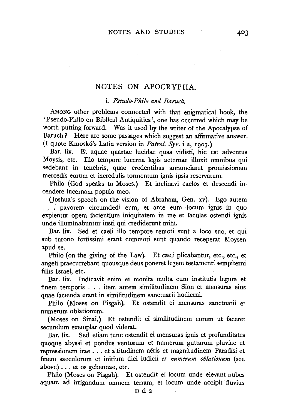# NOTES ON APOCRYPHA.

i. *Pseudo-Phi'lo and Baruch.* 

AMONG other problems connected with that enigmatical book, the 'Pseudo-Philo on Biblical Antiquities', one has occurred which may be worth putting forward. Was it used by the writer of the Apocalypse of Baruch? Here are some passages which suggest an affirmative answer. (I quote Kmosk6's Latin version in *Patrol. Syr.* i *z,* 1907.)

Bar. lix. Et aquae quartae lucidae quas vidisti, hie est adventus Moysis, etc. Illo tempore lucerna legis aeternae illuxit omnibus qui sedebant in tenebris, quae credentibus annunciaret promissionem mercedis eorum et incredulis tormentum ignis ipsis reservatum.

Philo (God speaks to Moses.) Et inclinavi caelos et descendi incendere lucernam populo meo.

(Joshua's speech on the vision of Abraham, Gen. xv). Ego autem . . . pavorem circumdedi eum, et ante eum locum ignis in quo expientur opera facientium iniquitatem in me et faculas ostendi ignis unde illuminabuntur iusti qui crediderunt mihi.

Bar. lix. Sed et caeli illo tempore remoti sunt a loco suo, et qui sub throno fortissimi erant commoti sunt quando receperat Moysen apud se.

Philo (on the giving of the Law). Et caeli plicabantur, etc., etc., et angeli praecurrebant quousque deus poneret legem testamenti sempiterni filiis Israel, etc.

Bar. lix. Indicavit enim ei monita multa cum institutis legum et finem temporis . . . item autem similitudinem Sion et mensuras eius quae facienda erant in similitudinem sanctuarii hodiemi.

Philo (Moses on Pisgah}. Et ostendit ei mensuras sanctuarii et numerum oblationum.

(Moses on Sinai.} Et ostendit ei similitudinem eorum ut faceret secundum exemplar quod viderat.

Bar. lix. Sed etiam tunc ostendit ei mensuras ignis et profunditates quoque abyssi et pondus ventorum et numerum guttarum pluviae et repressionem irae ... et altitudinem aeris et magnitudinem Paradisi et finem saeculorum et initium diei iudicii *et numerum oblationum* (see above) ... et os gehennae, etc.

Philo (Moses on Pisgah). Et ostendit ei locum unde elevant nubes aquam ad irrigandum omnem terram, et locum unde accipit fluvius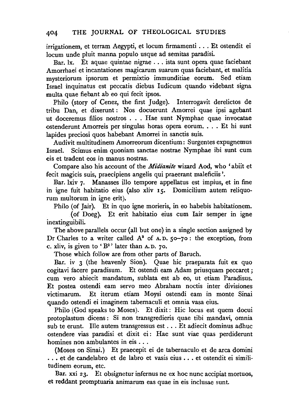irrigationem, et terram Aegypti, et locum firmamenti . . . Et ostendit ei locum unde pluit manna populo usque ad semitas paradisi.

Bar. lx. Et aquae quintae nigrae ... ista sunt opera quae faciebant Amorrhaei et incantationes magicarum suarum quas faciebant, et malitia mysteriorum ipsorum et permixtio immunditiae eorum. Sed etiam Israel inquinatus est peccatis diebus ludicum quando videbant signa multa quae fiebant ab eo qui fecit ipsos.

Philo (story of Cenez, the first Judge). Interrogavit derelictos de tribu Dan, et dixerunt : Nos docuerunt Amorrei quae ipsi agebant ut doceremus filios nostros ... Hae sunt Nymphae quae invocatae ostenderunt Amorreis per singulas horas opera eorum. . . . Et hi sunt lapides preciosi quos habebant Amorrei in sanctis suis.

Audivit multitudinem Amorreorum dicentium: Surgentes expugnemus Scimus enim quoniam sanctae nostrae Nymphae ibi sunt cum eis et tradent eos in manus nostras.

Compare also his account of the *Midianite* wizard Aod, who 'abiit et fecit magicis suis, praecipiens angelis qui praeerant maleficiis '.

Bar. lxiv 7. Manasses illo tempore appellatus est impius, et in fine in igne fuit habitatio eius (also xliv 15. Domicilium autem reliquorum multorum in igne erit).

Philo (of Jair). Et in quo igne morieris, in eo habebis habitationem.

(of Doeg). Et erit habitatio eius cum lair semper in igne inextinguibili.

The above parallels occur (all but one) in a single section assigned by Dr Charles to a writer called  $A^s$  of A.D.  $50-70$ : the exception, from c. xliv, is given to ' $B^2$ ' later than A.D. 70.

Those which follow are from other parts of Baruch.

Bar. iv 3 (the heavenly Sion). Quae hic praeparata fuit ex quo cogitavi facere paradisum. Et ostendi eam Adam priusquam peccaret; cum vero abiecit mandatum, sublata est ab eo, ut etiam Paradisus. Et postea ostendi eam servo meo Abraham noctis inter divisiones victimarum. Et iterum etiam Moysi ostendi eam in monte Sinai quando ostendi ei imaginem tabernaculi et omnia vasa eius.

Philo (God speaks to Moses). Et dixit: Hie locus est quem docui protoplastum dicens: Si non transgredieris quae tibi mandavi, omnia sub te erunt. Ille autem transgressus est ... Et adiecit dominus adhuc ostendere vias paradisi et dixit ei: Hae sunt viae quas perdiderunt homines non ambulantes in eis ...

(Moses on Sinai.) Et praecepit ei de tabernaculo et de area domini ... et de candelabro et de labro et vasis eius ... et ostendit ei similitudinem eorum, etc.

Bar. xxi 23. Et obsignetur infernus ne ex hoc nunc accipiat mortuos, et reddant promptuaria animarum eas quae in eis inclusae sunt.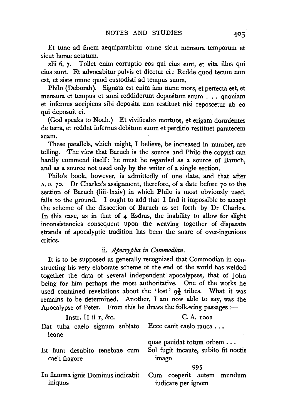Et tunc ad finem aequiparabitur omne sicut mensura temporum et sicut horae aetatum.<br>xlii 6, 7. Tollet

Tollet enim corruptio eos qui eius sunt, et vita illos qui eius sunt. Et advocabitur pulvis et dicetur ei : Redde quod tecum non est, et siste omne quod custodisti ad tempus suum.

Philo (Deborah ). Signata est enim iam nunc mors, et perfecta est, et mensura et tempus et anni reddiderunt depositum suum . . . quoniam et infernus accipiens sibi deposita non restituet nisi reposcetur ab eo qui deposuit ei.

(God speaks to Noah.) Et vivificabo mortuos, et erigam dormientes de terra, et reddet infernus debitum suum et perditio restituet paratecem suam.

These parallels, which might, I believe, be increased in number, are telling. The view that Baruch is the source and Philo the copyist can hardly commend itself: he must be regarded as a source of Baruch, and as a source not used only by the writer of a single section.

Philo's book, however, is admittedly of one date, and that after A. D. 70. Dr Charles's assignment, therefore, of a date before 70 to the section of Baruch (liii-lxxiv) in which Philo is most obviously used, falls to the ground. I ought to add that I find it impossible to accept the scheme of the dissection of Baruch as set forth by Dr Charles. In this case, as in that of 4 Esdras, the inability to allow for slight inconsistencies consequent upon the weaving together of disparate strands of apocalyptic tradition has been the snare of over-ingenious critics.

# ii. *Apocrypha in Commodian.*

It is to be supposed as generally recognized that Commodian in constructing his very elaborate scheme of the end of the world has welded together the data of several independent apocalypses, that of John being for him perhaps the most authoritative. One of the works he used contained revelations about the 'lost'  $q\frac{1}{2}$  tribes. What it was remains to be determined. Another, I am now able to say, was the Apocalypse of Peter. From this he draws the following passages :-

| Instr. II ii 1, &c.                             | $C. A.$ 1001                                                                      |
|-------------------------------------------------|-----------------------------------------------------------------------------------|
| Dat tuba caelo signum sublato<br>leone          | Ecce canit caelo rauca                                                            |
| Et fiunt desubito tenebrae cum<br>caeli fragore | quae pauidat totum orbem<br>Sol fugit incaute, subito fit noctis<br>imago         |
|                                                 | 995                                                                               |
| iniquos                                         | In flamma ignis Dominus iudicabit Cum coeperit autem mundum<br>iudicare per ignem |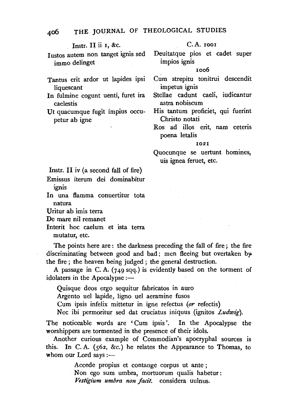Instr. **11 ii r,** &c.

C.A. TOOI

Iustos autem non tanget ignis sed immo delinget

Tantus erit ardor ut lapides ipsi liquescant

In fulmine cogunt uenti, furet ira caelestis

Ut quacumque fugit impius occupetur ab igne

# Deuitatque pios et cadet super impios ignis

#### roo6

Cum strepitu tonitrui descendit impetus ignis

Stellae cadunt caeli, iudicantur astra nobiscum

His tantum proficiet, qui fuerint Christo notati

Ros ad illos erit, nam ceteris poena letalis

### I02I

Quocunque se uertunt homines, uis ignea feruet, etc.

Instr. **11** iv (a second fall of fire)

Emissus iterum dei dominabitur ignis

In una flamma conuertitur tota natura

Uritur ab imis terra

De mare nil remanet

lnterit hoc caelum et ista terra

mutatur, etc.

The points here are : the darkness preceding the fall of fire; the fire discriminating between good and bad; men fleeing but overtaken by the fire ; the heaven being judged ; the general destruction.

A passage in C. A. (749 sqq.) is evidently based on the torment of idolaters in the Apocalypse  $:$   $-$ 

Quisque deos ergo sequitur fabricatos in auro Argento uel lapide, ligno uel aeramine fusos

Cum ipsis infelix mittetur in igne refectus *(or* refectis)

Nee ibi permoritur sed dat cruciatus iniquus (ignitos *Ludwig).* 

The noticeable words are 'Cum ipsis '. In the Apocalypse the worshippers are tormented in the presence of their idols.

Another curious example of Commodian's apocryphal sources is this. In C. A. (562, &c.) he relates the Appearance to Thomas, to whom our Lord says  $:=$ 

Accede propius et contange corpus ut ante ;

Non ego sum umbra, mortuorum qualis habetur: *Vestigium umbra non facit.* considera uulnus.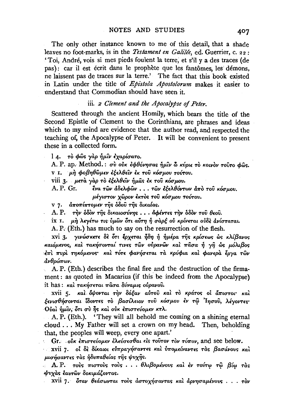The only other instance known to me of this detail, that a shade leaves no foot-marks, is in the Testament en Galilée, ed. Guerrier, c. 22: 'Toi. André, vois si mes pieds foulent la terre, et s'il y a des traces (de pas): car il est écrit dans le prophète que les fantômes, les démons, ne laissent pas de traces sur la terre.' The fact that this book existed in Latin under the title of *Epistola Apostolorum* makes it easier to understand that Commodian should have seen it.

### iii. 2 Clement and the Apocalypse of Peter.

Scattered through the ancient Homily, which bears the title of the Second Epistle of Clement to the Corinthians, are phrases and ideas which to my mind are evidence that the author read, and respected the teaching of, the Apocalypse of Peter. It will be convenient to present these in a collected form.

14. τὸ φῶς γὰρ ἡμῖν ἐχαρίσατο.

A. P. ap. Method.: σύ ούκ εφθόνησας ήμιν ω κύριε το κοινον τούτο φώς. ν Ι. μη φοβηθώμεν έξελθείν έκ του κόσμου τούτου.

viii 3. μετά γάρ το εξελθεΐν ήμας έκ του κόσμου.

A. P. Gr. ένα των άδελφων... των εξελθόντων άπο του κόσμου. μέγιστον χώρον έκτος του κόσμου τούτου.

v 7. αποπίπτομεν της όδου της δικαίας.

A. P. την όδον της δικαιοσύνης... άφέντες την όδον του θεου.

ix I. μη λεγέτω τις ύμων ότι αύτη ή σαρέ ού κρίνεται ούδε ανίσταται.

A. P. (Eth.) has much to say on the resurrection of the flesh.

xvi 3. γινώσκετε δε ότι έρχεται ήδη ή ήμέρα της κρίσεως ως κλίβανος καιόμενος, και τακήσονταί τινες των ούρανων και πάσα ή γη ώς μόλιβος έπι πυρι τηκόμενος και τότε φανήσεται τα κρύφια και φανερα έργα των ανθρώπων.

A. P. (Eth.) describes the final fire and the destruction of the firmament: as quoted in Macarius (if this be indeed from the Apocalypse) it has: και τακήσεται πάσα δύναμις ουρανού.

xvii 5. και δψονται την δόξαν αύτου και το κράτος οι άπιστοι· και ξενισθήσονται ίδοντες το βασίλειον του κόσμου έν τω Ίησου, λέγοντες Ούαι ήμιν, ότι σύ ής και ούκ επιστεύομεν κτλ.

A. P. (Eth.). 'They will all behold me coming on a shining eternal cloud . . . My Father will set a crown on my head. Then, beholding that, the peoples will weep, every one apart.'

Gr. sour επιστεύομεν ελεύσεσθαι είς τούτον τον τόπον, and see below.

xvii 7. οι δε δίκαιοι εύπραγήσαντες και υπομείναντες τας βασάνους και μισήσαντες τας ήδυπαθείας της ψυχης.

 $\Delta$  A.P. τους πιστους τους... θλιβομένους και εν τούτω τω βίω τας ψυχάς έαυτων δοκιμάζοντας.

xvii 7. δταν θεάσωνται τους άστοχήσαντας και αρνησαμένους... τον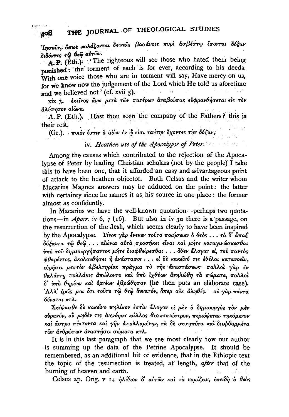'Inσούν, δπως κολάζονται δειναίς βασάνοις πυρί ασβέστω έσονται δόξαν διδόντες τω θεω αυτών.

A.P. (Eth.) The righteous will see those who hated them being punished: the torment of each is for ever, according to his deeds. With one voice those who are in torment will say, Have mercy on us, for we know now the judgement of the Lord which He told us aforetime and we believed not' (cf. xvii 5).

έκείνος άνω μετά των πατέρων αναβιώσας ευφρανθήσεται είς τον xix 3. αλύπητον αίωνα.

A. P. (Eth.). Hast thou seen the company of the Fathers? this is their rest.

(Gr.). ποιός έστιν ο αίων έν ώ είσι ταύτην έχοντες την δόξαν;

## iv. Heathen use of the Apocalypse of Peter.

Among the causes which contributed to the rejection of the Apocalypse of Peter by leading Christian scholars (not by the people) I take this to have been one, that it afforded an easy and advantageous point of attack to the heathen objector. Both Celsus and the writer whom Macarius Magnes answers may be adduced on the point: the latter with certainty since he names it as his source in one place: the former almost as confidently.

In Macarius we have the well-known quotation--perhaps two quotations—in *Apocr.* iv 6, 7 (16). But also in iv 30 there is a passage, on the resurrection of the flesh, which seems clearly to have been inspired by the Apocalypse. Tivos γάρ ένεκεν τούτο ποιήσειεν ό θεός ... τά δ' ἄπαξ δόξαντα τώ θεώ... αιώνια αυτά προσήκει είναι και μήτε καταγινώσκεσθαι ύπὸ τοῦ δημιουργήσαντος μήτε διαφθείρεσθαι... όθεν άλογον εἰ, τοῦ παντὸς φθαρέντος, άκολουθήσει ή ανάστασις...εί δε κακείνό τις εθέλοι κατανοείν, εύρήσει μεστον άβελτηρίας πράγμα το της άναστάσεως πολλοί γαρ έν θαλάττη πολλάκις απώλοντο και ύπο ιχθύων ανηλώθη τα σώματα, πολλοί  $\delta$  υπό θηρίων και δρνέων εβρώθησαν (he then puts an elaborate case). Αλλ' έρεις μοι ότι τούτο τω θεω δυνατόν, όπερ ούκ άληθές. ού γαρ πάντα δύναται κτλ.

Σκέψασθε δε κακείνο πηλίκον έστιν άλογον εί μεν δ δημιουργός τον μεν ούρανόν, ού μηδέν τις ένενόησε κάλλος θεσπεσιώτερον, περιόψεται τηκόμενον και άστρα πίπτοντα και γην απολλυμένην, τα δε σεσηπότα και διεφθαρμένα τῶν ἀνθρώπων ἀναστήσει σώματα κτλ.

It is in this last paragraph that we see most clearly how our author is summing up the data of the Petrine Apocalypse. It should be remembered, as an additional bit of evidence, that in the Ethiopic text the topic of the resurrection is treated, at length, after that of the burning of heaven and earth.

Celsus ap. Orig. v 14 ήλίθιον δ' αύτων και το νομίζειν, επειδή δ θεός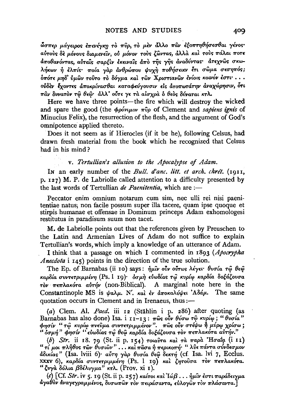ώσπερ μάγειρος επενέγκη το πυρ, το μεν άλλο παν εξοπτηθήσεσθαι γένος· αύτους δε μόνους διαμενείν, ού μόνον τους ζώντας, άλλα και τους πάλαι ποτε αποθανόντας, αυταίς σαρξιν εκειναίς άπο της γής αναδύντας· άτεχνώς σκωλήκων ή έλπίς· ποία γαρ άνθρώπου ψυχή ποθήσειεν έτι σώμα σεσηπός; όπότε μηδ' ύμων τούτο το δόγμα και των Χριστιανων ενίοις κοινόν έστι· ... ούδεν έχοντες αποκρίνασθαι καταφεύγουσιν είς ατοπωτάτην αναχώρησιν, ότι παν δυνατόν τω θεώ· άλλ' ούτε γε τα αίσχρα ο θεός δύναται κτλ.

Here we have three points—the fire which will destroy the wicked and spare the good (the  $\phi \rho \acute{o} \nu \mu \nu \nu \pi \hat{v} \rho$  of Clement and sapiens ignis of Minucius Felix), the resurrection of the flesh, and the argument of God's omnipotence applied thereto.

Does it not seem as if Hierocles (if it be he), following Celsus, had drawn fresh material from the book which he recognized that Celsus had in his mind?

## v. Tertullian's allusion to the Apocalypse of Adam.

In an early number of the *Bull*, d'anc, litt, et arch, chrét, (1911, p. 127) M. P. de Labriolle called attention to a difficulty presented by the last words of Tertullian de Paenitentia, which are :-

Peccator enim omnium notarum cum sim, nec ulli rei nisi paenitentiae natus, non facile possum super illa tacere, quam ipse quoque et stirpis humanae et offensae in Dominum princeps Adam exhomologesi restitutus in paradisum suum non tacet.

M. de Labriolle points out that the references given by Preuschen to the Latin and Armenian Lives of Adam do not suffice to explain Tertullian's words, which imply a knowledge of an utterance of Adam.

I think that a passage on which I commented in 1893 (Apocrypha Anecdota i 145) points in the direction of the true solution.

The Ep. of Barnabas (ii 10) says: ήμιν ούν ούτως λέγει· θυσία τώ θεώ καρδία συντετριμμένη (Ps. l 19)· όσμη εύωδίας τω κυρίω καρδία δοξάζουσα τον πεπλακότα αύτήν (non-Biblical). A marginal note here in the Constantinople MS is ψαλμ. Ν'. και έν άποκαλύψει Αδάμ. The same quotation occurs in Clement and in Irenaeus, thus:-

(a) Clem. Al. Paed. iii 12 (Stählin i p. 286) after quoting (as Barnabas has also done) Isa. i 11-13: πως ούν θύσω τω κυρίω; "θυσία" φησίν "τώ κυρίω πνεύμα συντετριμμένον". πώς ούν στέψω ή μύρω χρίσω; " όσμή" φησίν "εύωδίας τω θεώ καρδία δοξάζουσα τον πεπλακότα αύτήν."

(b) Str. ii 18. 79 (St. ii p. 154) τοιαύτα και τα παρα 'Ησαΐα (i 11)<br>"τί μοι πλήθος τῶν θυσιῶν"... και πᾶσα ή περικοπή "λύε πάντα σύνδεσμον άδικίας" (Isa. lviii 6)· αύτη γάρ θυσία θεώ δεκτή (cf. Isa. lvi 7, Ecclus. xxxv 6), καρδία συντετριμμένη (Ps. 1 19) και ζητούσα τον πεπλακότα. "ζυγά δόλια βδέλυγμα" κτλ. (Prov. xi 1).

(c) [Cf. Str. iv 5. 19 (St. ii p. 257) καίτοι και Ιώβ... ήμιν έστι παράδειγμα άγαθον άναγεγραμμένος, δυσωπών τον πειράσαντα, εύλογων τον πλάσαντα.]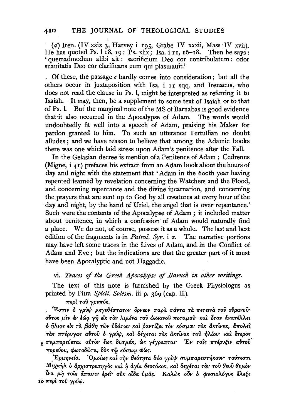(d) Iren. (IV xxix 3, Harvey i 195, Grabe IV xxxii, Mass IV xvii). He has quoted Ps. 1 18, 19; Ps. xlix; Isa. i 11,  $16-18$ . Then he says: ' quemadmodum alibi ait : sacrificium Deo cor contribulatum : odor suauitatis Deo cor clarificans eum qui plasmauit.'

. Of these, the passage *c* hardly comes into consideration ; but all the others occur in juxtaposition with Isa. i rr sqq. and Irenaeus, who does not read the clause in Ps. 1, might be interpreted as referring it to Isaiah. It may, then, be a supplement to some text of Isaiah or to that of Ps. 1. But the marginal note of the MS of Barnabas is good evidence that it also occurred in the Apocalypse of Adam. The words would undoubtedly fit well into a speech of Adam, praising his Maker for pardon granted to him. To such an utterance Tertullian no doubt alludes; and we have reason to believe that among the Adamic books there was one which laid stress upon Adam's penitence after the Fall.

In the Gelasian decree is mention of a Penitence of Adam ; Cedrenus (Migne,  $i \neq 1$ ) prefaces his extract from an Adam book about the hours of day and night with the statement that 'Adam in the 6ooth year having repented learned by revelation concerning the Watchers and the Flood, and concerning repentance and the divine incarnation, and concerning the prayers that are sent up to God by-all creatures at every hour of the day and night, by the hand of Uriel, the angel that is over repentance.' Such were the contents of the Apocalypse of Adam ; it included matter about penitence, in which a confession of Adam would naturally find a place. We do not, of course, possess it as a whole. The last and best edition of the fragments is in *Patrol. Syr.* i 2. The narrative portions may have left some traces in the Lives of Adam, and. in the Conflict of Adam and Eve ; but the indications are that the greater part of it must have been Apocalyptic and not Haggadic.

vi. *Traces* of *the Greek Apocalypse* of *Baruch in other writings.* 

The text of this note is furnished by the Greek Physiologus as printed by Pitra *Spicil. Solesm.* iii p. 369 (cap. lii).

 $\pi$ ερί του γρυπός.

~E<TT!V o *yp:Vl{l P,£-y£fJl<TTa'TOV 5pv£ov 7rapd. mfvTa Td.* 7rE'Tt"LVd. *'TOV ovpavov•*  0~0<; Jl-~V Ev '~tiJq. *'Yii* £le; *'TOV Atp.tva 'TOV WK£avov 'TrO'Tap.ov·* Ka~ *&rav ava'TtAA£L*  0 ~Awe; de; *Td. {3cf.()'YJ 'TWV v8a.Twv* Ka~ *pavT{(,£L 'TOV K6up.ov Td.<; aK'TWa<;,* a7roAEi: Tàs πτέρυγας αὐτοῦ ὁ γρύψ, καὶ δέχεται τὰς ἀκτῖνας τοῦ ἡλίου· καὶ ἔτερος 5 συμπορεύεται αύτον έως δυσμάς, ως γέγραπται<sup>.</sup> Έν ταίς πτέρυξιν αύτου  $\pi$ ορεύου, φωτοδώτα, δός τω κόσμω φώς.

*'*'Ερμηνεία. 'Ομοίως καὶ τὴν θεότητα δύο γρὺψ συμπαρεστήκουν' τούτεστι  $M$ ιχαήλ ο άρχιστρατηγὸς καὶ ή άγία θεοτόκος, καὶ δεχέται τὸν τοῦ θεοῦ θυμὸν *lva μή τοιs άπασιν έρει*· ούκ οίδα ύμας. Καλως ούν ο φυσιολόγος έλεξε **ΙΟ περί του γρύψ.**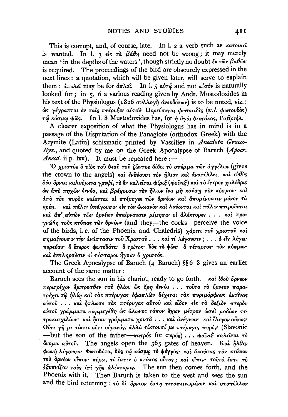This is corrupt, and, of course, late. In l. 2 a verb such as karouket is wanted. In 1. 3  $\epsilon$  is  $\tau \alpha$   $\beta d\theta \eta$  need not be wrong; it may merely mean 'in the depths of the waters', though strictly no doubt  $\partial x \cdot \partial \partial \theta$ is required. The proceedings of the bird are obscurely expressed in the next lines: a quotation, which will be given later, will serve to explain them:  $\frac{\partial}{\partial x}$   $\frac{\partial}{\partial x}$  may be for  $\frac{\partial}{\partial x}$  ho in l. 5  $\frac{\partial}{\partial y}$  and not  $\frac{\partial}{\partial y}$  is naturally looked for; in 5, 6 a various reading given by Andr. Mustodoxides in his text of the Physiologus (1826 συλλογή άνεκδότων) is to be noted, viz.: ώς γέγραπται έν ταίς πτέρυξιν αύτου· Πορεύσεται φωτοειδες (υ. Ι. φωτουδός) τώ κόσμω φώς. In l. 8 Mustodoxides has, for ή άγία θεοτόκος, Γαβριήλ.

A clearer exposition of what the Physiologus has in mind is in a passage of the Disputation of the Panagiote (orthodox Greek) with the Azymite (Latin) schismatic printed by Vassiliev in Anecdota Graeco-Byz., and quoted by me on the Greek Apocalypse of Baruch (Apocr. *Anecd.* ii p. lxv). It must be repeated here :-

Ο χριστός δ νίος του θεού του ζώντος δίδει το στέμμα των άγγέλων (gives the crown to the angels) και ενδύουσι τον ήλιον και ανατέλλει, και εύθυς δύο όρνεα καλούμενα γρυψί, το έν καλείται φίριξ (φοίνιξ) και το έτερον χαλέδρις ώς άπό πηχών έννέα, και βρέχουσιν τον ήλιον ίνα μη καύση τον κόσμον· και άπό του πυρός καίονται αί πτέρυγες των δρνέων και απομένουσιν μόνον τα κρέη. και πάλιν υπάγουσιν είς τον ώκεανον και λούονται και πάλιν πτερούνται και άπ' αύτων των όρνέων επαίρνουσιν μίμησιν οι άλέκτορες... και προγνώθη τους κτύπος των δρνέων (and they-the cocks-perceive the voice of the birds, i.e. of the Phoenix and Chaledris) χάριτι του χριστού και σημαίνουσιν την ανάστασιν του Χριστού... και τί λέγουσιν;... ο είς λέγει· πορεύου· δ έτερος· φωτοδότα· δ τρίτος· δός το φώς· δ τέταρτος· τον κόσμον· και ένπληρούσιν οι τέσσαροι ήγουν ο χριστός.

The Greek Apocalypse of Baruch (4 Baruch)  $\S$  6-8 gives an earlier account of the same matter :

Baruch sees the sun in his chariot, ready to go forth. καὶ ίδού ὄρνεον περιτρέχον έμπροσθεν του ήλίου ως όρη έννέα ... τουτο το όρνεον παρατρέχει τω ήλίω και τας πτέρυγας εφαπλών δέχεται τας πυριμόρφους ακτίνας αύτου ... και ήπλωσε τας πτέρυγας αύτου και είδον είς το δεξιον πτερον αύτου γράμματα παμμεγέθη ώς άλωνος τόπον έχων μέτρον ώσει μοδίων τετρακισχιλίων και ήσαν γράμματα χρυσα ... και ανέγνων και έλεγον ούτως Ούτε γη με τίκτει ούτε ούρανός, άλλα τίκτουσί με πτέρυγες πυρός· (Slavonic —but the son of the father— $\pi a \tau \rho \delta s$  for  $\pi \nu \rho \delta s$ ...  $\phi \delta \nu \psi \xi$  καλείται το  $\phi$ νομα αύτου. The angels open the 365 gates of heaven. Καὶ ήλθεν φωνή λέγουσα· Φωτοδότα, δός τω κόσμω το φέγγος· και άκούσας τον κτύπον τού δρνέου είπον· κύριε, τί έστιν ο κτύπος ούτος; και είπεν· τουτό έστι το έξυπνίζον τους έπι γης άλέκτορας. The sun then comes forth, and the Phoenix with it. Then Baruch is taken to the west and sees the sun and the bird returning: το δε όργεον έστη τεταπεινωμένον και συστέλλον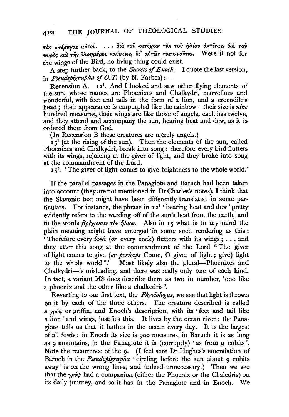$\tau$ àς πτέρυγας αύτου. ... διά του κατέχειν τας του ήλίου ακτίνας, δια του  $\pi v$ ρός και της δλοημέρου καύσεως, δι' αυτών ταπεινούται. Were it not for the wings of the Bird, no living thing could exist.

A step further back, to the *Secrets of Enoch*. I quote the last version, in *Pseudepigrapha of O.T.* (by N. Forbes) :-

Recension A.  $I_2^1$ . And I looked and saw other flying elements of the sun, whose names are Phoenixes and Chalkydri, marvellous and wonderful, with feet and tails in the form of a lion, and a crocodile's head ; their appearance is empurpled like the rainbow : their size is *nine*  hundred measures, their wings are like those of angels, each has twelve, and they attend and accompany the sun, bearing heat and dew, as it is ordered them from God.

(In Recension B these creatures are merely angels.)

 $15<sup>1</sup>$  (at the rising of the sun). Then the elements of the sun, called Phoenixes and Chalkydri, break into song: therefore every bird flutters with its wings, rejoicing at the giver of light, and they broke into song at the commandment of the Lord.

 $5^2$ . The giver of light comes to give brightness to the whole world.

If the parallel passages in the Panagiote and Baruch had been taken into account (they are not mentioned in Dr Charles's notes), I think that the Slavonic text might have been differently translated in some particulars. For instance, the phrase in  $I2^1$  'bearing heat and dew' pretty evidently refers to the warding off of the sun's heat from the earth, and to the words  $\beta \rho \epsilon \chi_0 v \sigma u$  ròv  $\eta \lambda \omega \nu$ . Also in 15 what is to my mind the plain meaning might have emerged in some such rendering as this : 'Therefore every fowl *(or* every cock) flutters with its wings; .•. and they utter this song at the commandment of the Lord " The giver of light comes to give *(or perhaps* Come, 0 giver of light; give) light to the whole world".' Most likely also the plural-Phoenixes and Chalkydri-is misleading, and there was really only one of each kind. In fact, a variant MS does describe them as two in number, 'one like a phoenix and the other like a chalkedris '.

Reverting to our first text, the *Physiologus,* we see that light is thrown on it by each of the three others. The creature described is called a  $\gamma \rho \acute{\psi} \psi$  or griffin, and Enoch's description, with its 'feet and tail like a lion ' and wings, justifies this. It lives by the ocean river : the Panagiote tells us that it bathes in the ocean every day. It is the largest of all fowls : in Enoch its size is 900 measures, in Baruch it is as long as 9 mountains, in the Panagiote it is (corruptly) 'as from 9 cubits'. Note the recurrence of the 9. (I feel sure Dr Hughes's emendation of Baruch in the *Pseudepigrapha* ' circling before the sun about 9 cubits away' is on the wrong lines, and indeed unnecessary.) Then we see that the  $\gamma \rho \psi \psi$  had a companion (either the Phoenix or the Chaledris) on its daily journey, and so it has in the Panagiote and in Enoch. We